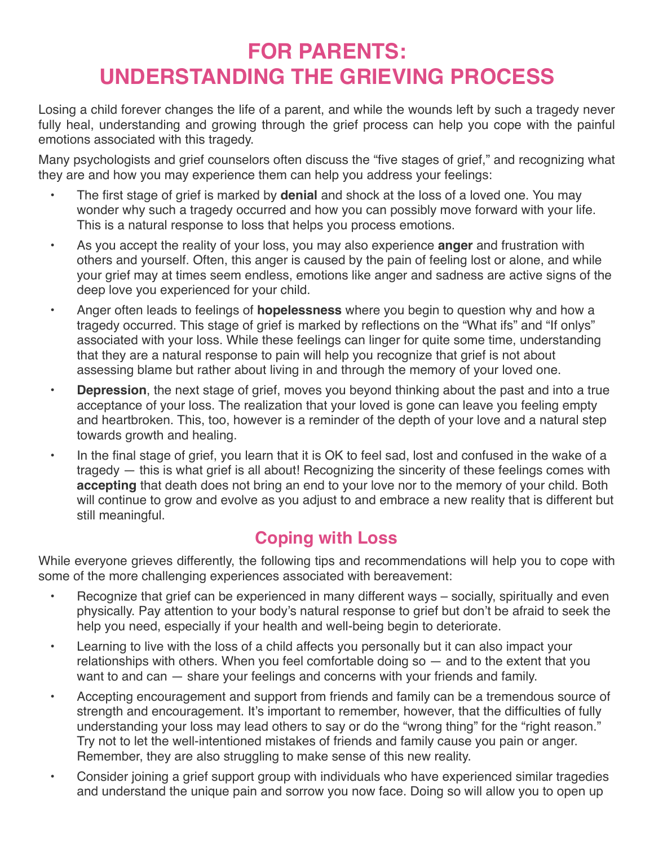## **FOR PARENTS: UNDERSTANDING THE GRIEVING PROCESS**

Losing a child forever changes the life of a parent, and while the wounds left by such a tragedy never fully heal, understanding and growing through the grief process can help you cope with the painful emotions associated with this tragedy.

Many psychologists and grief counselors often discuss the "five stages of grief," and recognizing what they are and how you may experience them can help you address your feelings:

- The first stage of grief is marked by **denial** and shock at the loss of a loved one. You may wonder why such a tragedy occurred and how you can possibly move forward with your life. This is a natural response to loss that helps you process emotions.
- As you accept the reality of your loss, you may also experience **anger** and frustration with others and yourself. Often, this anger is caused by the pain of feeling lost or alone, and while your grief may at times seem endless, emotions like anger and sadness are active signs of the deep love you experienced for your child.
- Anger often leads to feelings of **hopelessness** where you begin to question why and how a tragedy occurred. This stage of grief is marked by reflections on the "What ifs" and "If onlys" associated with your loss. While these feelings can linger for quite some time, understanding that they are a natural response to pain will help you recognize that grief is not about assessing blame but rather about living in and through the memory of your loved one.
- **Depression**, the next stage of grief, moves you beyond thinking about the past and into a true acceptance of your loss. The realization that your loved is gone can leave you feeling empty and heartbroken. This, too, however is a reminder of the depth of your love and a natural step towards growth and healing.
- In the final stage of grief, you learn that it is OK to feel sad, lost and confused in the wake of a tragedy — this is what grief is all about! Recognizing the sincerity of these feelings comes with **accepting** that death does not bring an end to your love nor to the memory of your child. Both will continue to grow and evolve as you adjust to and embrace a new reality that is different but still meaningful.

## **Coping with Loss**

While everyone grieves differently, the following tips and recommendations will help you to cope with some of the more challenging experiences associated with bereavement:

- Recognize that grief can be experienced in many different ways socially, spiritually and even physically. Pay attention to your body's natural response to grief but don't be afraid to seek the help you need, especially if your health and well-being begin to deteriorate.
- Learning to live with the loss of a child affects you personally but it can also impact your relationships with others. When you feel comfortable doing so — and to the extent that you want to and can — share your feelings and concerns with your friends and family.
- Accepting encouragement and support from friends and family can be a tremendous source of strength and encouragement. It's important to remember, however, that the difficulties of fully understanding your loss may lead others to say or do the "wrong thing" for the "right reason." Try not to let the well-intentioned mistakes of friends and family cause you pain or anger. Remember, they are also struggling to make sense of this new reality.
- Consider joining a grief support group with individuals who have experienced similar tragedies and understand the unique pain and sorrow you now face. Doing so will allow you to open up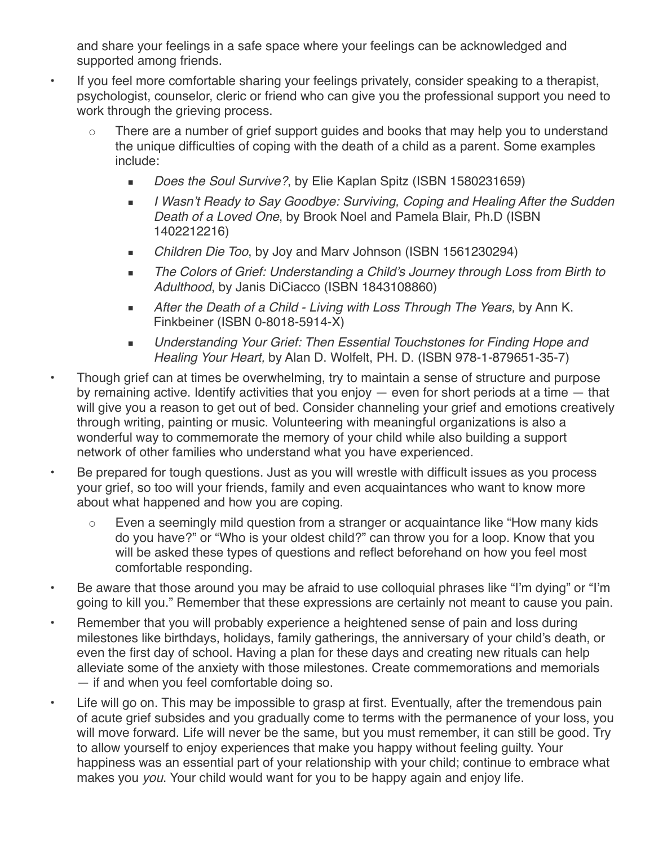and share your feelings in a safe space where your feelings can be acknowledged and supported among friends.

- If you feel more comfortable sharing your feelings privately, consider speaking to a therapist, psychologist, counselor, cleric or friend who can give you the professional support you need to work through the grieving process.
	- There are a number of grief support guides and books that may help you to understand the unique difficulties of coping with the death of a child as a parent. Some examples include:
		- *Does the Soul Survive?*, by Elie Kaplan Spitz (ISBN 1580231659)
		- *I Wasn't Ready to Say Goodbye: Surviving, Coping and Healing After the Sudden Death of a Loved One*, by Brook Noel and Pamela Blair, Ph.D (ISBN 1402212216)
		- *Children Die Too*, by Joy and Marv Johnson (ISBN 1561230294)
		- *The Colors of Grief: Understanding a Child's Journey through Loss from Birth to Adulthood*, by Janis DiCiacco (ISBN 1843108860)
		- *After the Death of a Child Living with Loss Through The Years,* by Ann K. Finkbeiner (ISBN 0-8018-5914-X)
		- *Understanding Your Grief: Then Essential Touchstones for Finding Hope and Healing Your Heart,* by Alan D. Wolfelt, PH. D. (ISBN 978-1-879651-35-7)
- Though grief can at times be overwhelming, try to maintain a sense of structure and purpose by remaining active. Identify activities that you enjoy — even for short periods at a time — that will give you a reason to get out of bed. Consider channeling your grief and emotions creatively through writing, painting or music. Volunteering with meaningful organizations is also a wonderful way to commemorate the memory of your child while also building a support network of other families who understand what you have experienced.
- Be prepared for tough questions. Just as you will wrestle with difficult issues as you process your grief, so too will your friends, family and even acquaintances who want to know more about what happened and how you are coping.
	- Even a seemingly mild question from a stranger or acquaintance like "How many kids do you have?" or "Who is your oldest child?" can throw you for a loop. Know that you will be asked these types of questions and reflect beforehand on how you feel most comfortable responding.
- Be aware that those around you may be afraid to use colloquial phrases like "I'm dying" or "I'm going to kill you." Remember that these expressions are certainly not meant to cause you pain.
- Remember that you will probably experience a heightened sense of pain and loss during milestones like birthdays, holidays, family gatherings, the anniversary of your child's death, or even the first day of school. Having a plan for these days and creating new rituals can help alleviate some of the anxiety with those milestones. Create commemorations and memorials — if and when you feel comfortable doing so.
- Life will go on. This may be impossible to grasp at first. Eventually, after the tremendous pain of acute grief subsides and you gradually come to terms with the permanence of your loss, you will move forward. Life will never be the same, but you must remember, it can still be good. Try to allow yourself to enjoy experiences that make you happy without feeling guilty. Your happiness was an essential part of your relationship with your child; continue to embrace what makes you *you*. Your child would want for you to be happy again and enjoy life.